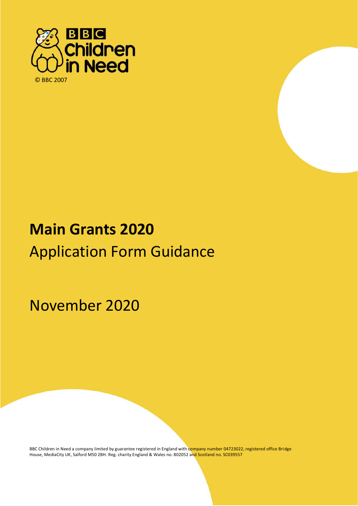



# **Main Grants 2020** Application Form Guidance

November 2020

2019

BBC Children in Need a company limited by guarantee registered in England with company number 04723022, registered office Bridge House, MediaCity UK, Salford M50 2BH. Reg. charity England & Wales no. 802052 and Scotland no. SC039557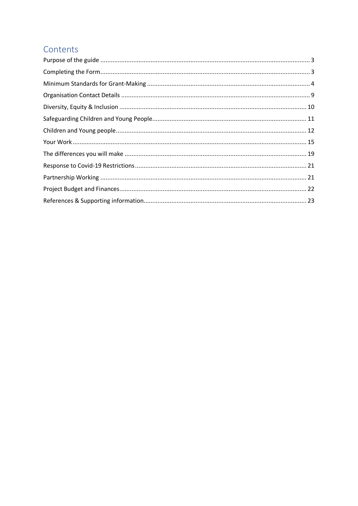### Contents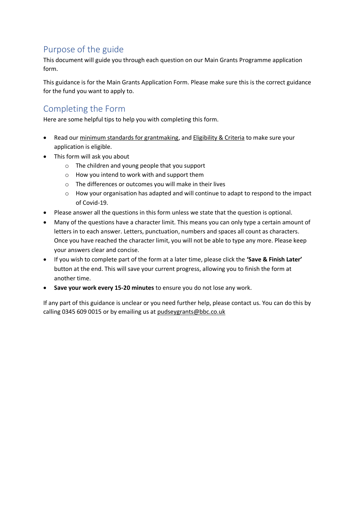# <span id="page-2-0"></span>Purpose of the guide

This document will guide you through each question on our Main Grants Programme application form.

This guidance is for the Main Grants Application Form. Please make sure this is the correct guidance for the fund you want to apply to.

### <span id="page-2-1"></span>Completing the Form

Here are some helpful tips to help you with completing this form.

- Read our [minimum standards for grantmaking,](https://www.bbcchildreninneed.co.uk/grants/apply/minimum-standards-november-2019/) and [Eligibility & Criteria](https://www.bbcchildreninneed.co.uk/covid-19-funding-streams) to make sure your application is eligible.
- This form will ask you about
	- o The children and young people that you support
	- o How you intend to work with and support them
	- o The differences or outcomes you will make in their lives
	- o How your organisation has adapted and will continue to adapt to respond to the impact of Covid-19.
- Please answer all the questions in this form unless we state that the question is optional.
- Many of the questions have a character limit. This means you can only type a certain amount of letters in to each answer. Letters, punctuation, numbers and spaces all count as characters. Once you have reached the character limit, you will not be able to type any more. Please keep your answers clear and concise.
- If you wish to complete part of the form at a later time, please click the **'Save & Finish Later'** button at the end. This will save your current progress, allowing you to finish the form at another time.
- **Save your work every 15-20 minutes** to ensure you do not lose any work.

If any part of this guidance is unclear or you need further help, please contact us. You can do this by calling 0345 609 0015 or by emailing us a[t pudseygrants@bbc.co.uk](mailto:pudseygrants@bbc.co.uk)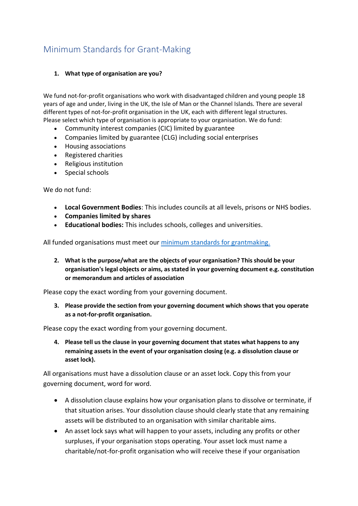# <span id="page-3-0"></span>Minimum Standards for Grant-Making

#### **1. What type of organisation are you?**

We fund not-for-profit organisations who work with disadvantaged children and young people 18 years of age and under, living in the UK, the Isle of Man or the Channel Islands. There are several different types of not-for-profit organisation in the UK, each with different legal structures. Please select which type of organisation is appropriate to your organisation. We do fund:

- Community interest companies (CIC) limited by guarantee
- Companies limited by guarantee (CLG) including social enterprises
- Housing associations
- Registered charities
- Religious institution
- Special schools

We do not fund:

- **Local Government Bodies**: This includes councils at all levels, prisons or NHS bodies.
- **Companies limited by shares**
- **Educational bodies:** This includes schools, colleges and universities.

All funded organisations must meet our [minimum standards for grantmaking.](https://www.bbcchildreninneed.co.uk/grants/apply/minimum-standards-november-2019/)

**2. What is the purpose/what are the objects of your organisation? This should be your organisation's legal objects or aims, as stated in your governing document e.g. constitution or memorandum and articles of association**

Please copy the exact wording from your governing document.

**3. Please provide the section from your governing document which shows that you operate as a not-for-profit organisation.**

Please copy the exact wording from your governing document.

**4. Please tell us the clause in your governing document that states what happens to any remaining assets in the event of your organisation closing (e.g. a dissolution clause or asset lock).**

All organisations must have a dissolution clause or an asset lock. Copy this from your governing document, word for word.

- A dissolution clause explains how your organisation plans to dissolve or terminate, if that situation arises. Your dissolution clause should clearly state that any remaining assets will be distributed to an organisation with similar charitable aims.
- An asset lock says what will happen to your assets, including any profits or other surpluses, if your organisation stops operating. Your asset lock must name a charitable/not-for-profit organisation who will receive these if your organisation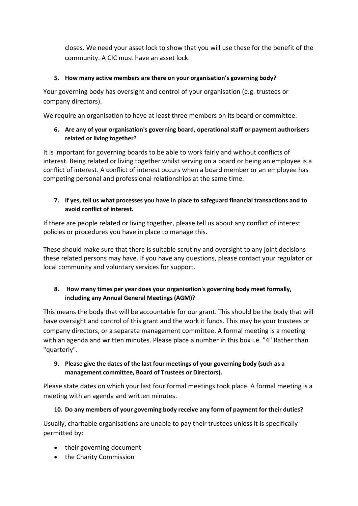closes. We need your asset lock to show that you will use these for the benefit of the community. A CIC must have an asset lock.

#### **5. How many active members are there on your organisation's governing body?**

Your governing body has oversight and control of your organisation (e.g. trustees or company directors).

We require an organisation to have at least three members on its board or committee.

#### **6. Are any of your organisation's governing board, operational staff or payment authorisers related or living together?**

It is important for governing boards to be able to work fairly and without conflicts of interest. Being related or living together whilst serving on a board or being an employee is a conflict of interest. A conflict of interest occurs when a board member or an employee has competing personal and professional relationships at the same time.

#### **7. If yes, tell us what processes you have in place to safeguard financial transactions and to avoid conflict of interest.**

If there are people related or living together, please tell us about any conflict of interest policies or procedures you have in place to manage this.

These should make sure that there is suitable scrutiny and oversight to any joint decisions these related persons may have. If you have any questions, please contact your regulator or local community and voluntary services for support.

#### **8. How many times per year does your organisation's governing body meet formally, including any Annual General Meetings (AGM)?**

This means the body that will be accountable for our grant. This should be the body that will have oversight and control of this grant and the work it funds. This may be your trustees or company directors, or a separate management committee. A formal meeting is a meeting with an agenda and written minutes. Please place a number in this box i.e. "4" Rather than "quarterly".

#### **9. Please give the dates of the last four meetings of your governing body (such as a management committee, Board of Trustees or Directors).**

Please state dates on which your last four formal meetings took place. A formal meeting is a meeting with an agenda and written minutes.

#### **10. Do any members of your governing body receive any form of payment for their duties?**

Usually, charitable organisations are unable to pay their trustees unless it is specifically permitted by:

- their governing document
- the Charity Commission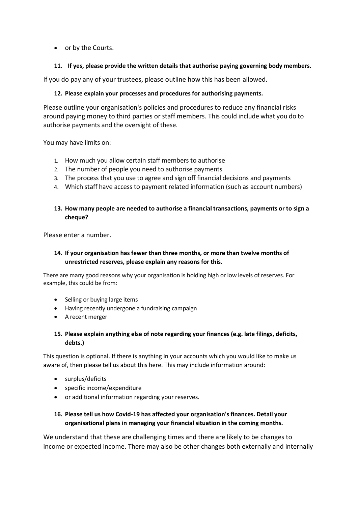• or by the Courts.

#### **11. If yes, please provide the written details that authorise paying governing body members.**

If you do pay any of your trustees, please outline how this has been allowed.

#### **12. Please explain your processes and procedures for authorising payments.**

Please outline your organisation's policies and procedures to reduce any financial risks around paying money to third parties or staff members. This could include what you do to authorise payments and the oversight of these.

You may have limits on:

- 1. How much you allow certain staff members to authorise
- 2. The number of people you need to authorise payments
- 3. The process that you use to agree and sign off financial decisions and payments
- 4. Which staff have access to payment related information (such as account numbers)

#### **13. How many people are needed to authorise a financial transactions, payments or to sign a cheque?**

Please enter a number.

#### **14. If your organisation has fewer than three months, or more than twelve months of unrestricted reserves, please explain any reasons for this.**

There are many good reasons why your organisation is holding high or low levels of reserves. For example, this could be from:

- Selling or buying large items
- Having recently undergone a fundraising campaign
- A recent merger

#### **15. Please explain anything else of note regarding your finances (e.g. late filings, deficits, debts.)**

This question is optional. If there is anything in your accounts which you would like to make us aware of, then please tell us about this here. This may include information around:

- surplus/deficits
- specific income/expenditure
- or additional information regarding your reserves.

#### **16. Please tell us how Covid-19 has affected your organisation's finances. Detail your organisational plans in managing your financial situation in the coming months.**

We understand that these are challenging times and there are likely to be changes to income or expected income. There may also be other changes both externally and internally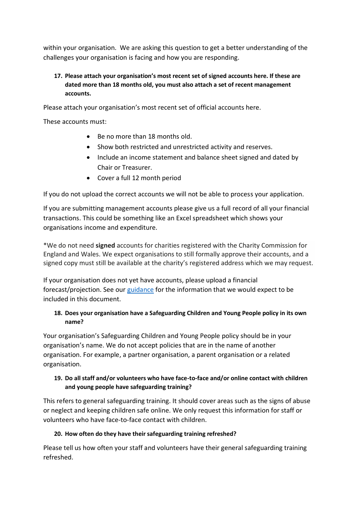within your organisation. We are asking this question to get a better understanding of the challenges your organisation is facing and how you are responding.

#### **17. Please attach your organisation's most recent set of signed accounts here. If these are dated more than 18 months old, you must also attach a set of recent management accounts.**

Please attach your organisation's most recent set of official accounts here.

These accounts must:

- Be no more than 18 months old.
- Show both restricted and unrestricted activity and reserves.
- Include an income statement and balance sheet signed and dated by Chair or Treasurer.
- Cover a full 12 month period

If you do not upload the correct accounts we will not be able to process your application.

If you are submitting management accounts please give us a full record of all your financial transactions. This could be something like an Excel spreadsheet which shows your organisations income and expenditure.

\*We do not need **signed** accounts for charities registered with the Charity Commission for England and Wales. We expect organisations to still formally approve their accounts, and a signed copy must still be available at the charity's registered address which we may request.

If your organisation does not yet have accounts, please upload a financial forecast/projection. See our [guidance](https://www.bbcchildreninneed.co.uk/grants/apply/faqs/) for the information that we would expect to be included in this document.

#### **18. Does your organisation have a Safeguarding Children and Young People policy in its own name?**

Your organisation's Safeguarding Children and Young People policy should be in your organisation's name. We do not accept policies that are in the name of another organisation. For example, a partner organisation, a parent organisation or a related organisation.

#### **19. Do all staff and/or volunteers who have face-to-face and/or online contact with children and young people have safeguarding training?**

This refers to general safeguarding training. It should cover areas such as the signs of abuse or neglect and keeping children safe online. We only request this information for staff or volunteers who have face-to-face contact with children.

#### **20. How often do they have their safeguarding training refreshed?**

Please tell us how often your staff and volunteers have their general safeguarding training refreshed.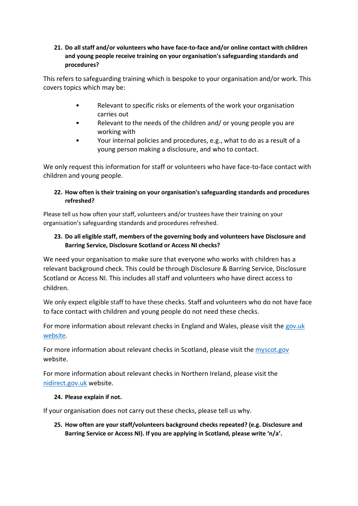#### **21. Do all staff and/or volunteers who have face-to-face and/or online contact with children and young people receive training on your organisation's safeguarding standards and procedures?**

This refers to safeguarding training which is bespoke to your organisation and/or work. This covers topics which may be:

- Relevant to specific risks or elements of the work your organisation carries out
- Relevant to the needs of the children and/ or young people you are working with
- Your internal policies and procedures, e.g., what to do as a result of a young person making a disclosure, and who to contact.

We only request this information for staff or volunteers who have face-to-face contact with children and young people.

#### **22. How often is their training on your organisation's safeguarding standards and procedures refreshed?**

Please tell us how often your staff, volunteers and/or trustees have their training on your organisation's safeguarding standards and procedures refreshed.

#### **23. Do all eligible staff, members of the governing body and volunteers have Disclosure and Barring Service, Disclosure Scotland or Access NI checks?**

We need your organisation to make sure that everyone who works with children has a relevant background check. This could be through Disclosure & Barring Service, Disclosure Scotland or Access NI. This includes all staff and volunteers who have direct access to children.

We only expect eligible staff to have these checks. Staff and volunteers who do not have face to face contact with children and young people do not need these checks.

For more information about relevant checks in England and Wales, please visit the [gov.uk](https://www.gov.uk/government/organisations/disclosure-and-barring-service) [website.](https://www.gov.uk/government/organisations/disclosure-and-barring-service)

For more information about relevant checks in Scotland, please visit the [myscot.gov](https://www.mygov.scot/disclosure-types/) website.

For more information about relevant checks in Northern Ireland, please visit the [nidirect.gov.uk](https://www.nidirect.gov.uk/articles/types-accessni-checks) website.

#### **24. Please explain if not.**

If your organisation does not carry out these checks, please tell us why.

**25. How often are your staff/volunteers background checks repeated? (e.g. Disclosure and Barring Service or Access NI). If you are applying in Scotland, please write 'n/a'.**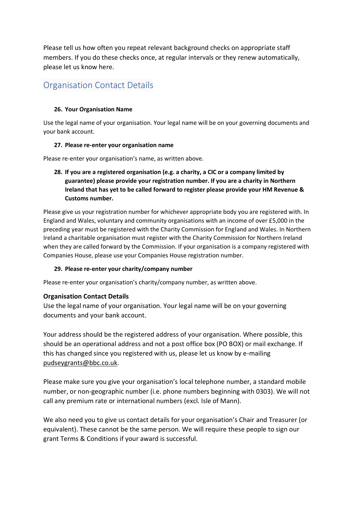Please tell us how often you repeat relevant background checks on appropriate staff members. If you do these checks once, at regular intervals or they renew automatically, please let us know here.

### <span id="page-8-0"></span>Organisation Contact Details

#### **26. Your Organisation Name**

Use the legal name of your organisation. Your legal name will be on your governing documents and your bank account.

#### **27. Please re-enter your organisation name**

Please re-enter your organisation's name, as written above.

**28. If you are a registered organisation (e.g. a charity, a CIC or a company limited by guarantee) please provide your registration number. If you are a charity in Northern Ireland that has yet to be called forward to register please provide your HM Revenue & Customs number.**

Please give us your registration number for whichever appropriate body you are registered with. In England and Wales, voluntary and community organisations with an income of over £5,000 in the preceding year must be registered with the Charity Commission for England and Wales. In Northern Ireland a charitable organisation must register with the Charity Commission for Northern Ireland when they are called forward by the Commission. If your organisation is a company registered with Companies House, please use your Companies House registration number.

#### **29. Please re-enter your charity/company number**

Please re-enter your organisation's charity/company number, as written above.

#### **Organisation Contact Details**

Use the legal name of your organisation. Your legal name will be on your governing documents and your bank account.

Your address should be the registered address of your organisation. Where possible, this should be an operational address and not a post office box (PO BOX) or mail exchange. If this has changed since you registered with us, please let us know by e-mailing [pudseygrants@bbc.co.uk.](mailto:pudseygrants@bbc.co.uk)

Please make sure you give your organisation's local telephone number, a standard mobile number, or non-geographic number (i.e. phone numbers beginning with 0303). We will not call any premium rate or international numbers (excl. Isle of Mann).

We also need you to give us contact details for your organisation's Chair and Treasurer (or equivalent). These cannot be the same person. We will require these people to sign our grant Terms & Conditions if your award is successful.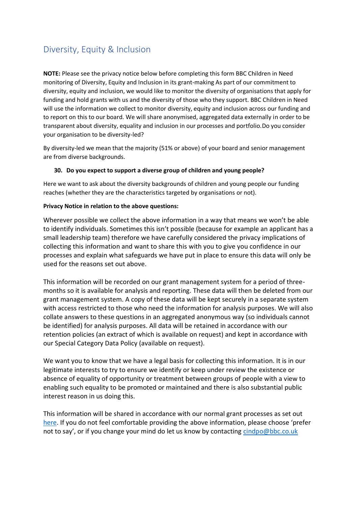### <span id="page-9-0"></span>Diversity, Equity & Inclusion

**NOTE:** Please see the privacy notice below before completing this form BBC Children in Need monitoring of Diversity, Equity and Inclusion in its grant-making As part of our commitment to diversity, equity and inclusion, we would like to monitor the diversity of organisations that apply for funding and hold grants with us and the diversity of those who they support. BBC Children in Need will use the information we collect to monitor diversity, equity and inclusion across our funding and to report on this to our board. We will share anonymised, aggregated data externally in order to be transparent about diversity, equality and inclusion in our processes and portfolio.Do you consider your organisation to be diversity-led?

By diversity-led we mean that the majority (51% or above) of your board and senior management are from diverse backgrounds.

#### **30. Do you expect to support a diverse group of children and young people?**

Here we want to ask about the diversity backgrounds of children and young people our funding reaches (whether they are the characteristics targeted by organisations or not).

#### **Privacy Notice in relation to the above questions:**

Wherever possible we collect the above information in a way that means we won't be able to identify individuals. Sometimes this isn't possible (because for example an applicant has a small leadership team) therefore we have carefully considered the privacy implications of collecting this information and want to share this with you to give you confidence in our processes and explain what safeguards we have put in place to ensure this data will only be used for the reasons set out above.

This information will be recorded on our grant management system for a period of threemonths so it is available for analysis and reporting. These data will then be deleted from our grant management system. A copy of these data will be kept securely in a separate system with access restricted to those who need the information for analysis purposes. We will also collate answers to these questions in an aggregated anonymous way (so individuals cannot be identified) for analysis purposes. All data will be retained in accordance with our retention policies (an extract of which is available on request) and kept in accordance with our Special Category Data Policy (available on request).

We want you to know that we have a legal basis for collecting this information. It is in our legitimate interests to try to ensure we identify or keep under review the existence or absence of equality of opportunity or treatment between groups of people with a view to enabling such equality to be promoted or maintained and there is also substantial public interest reason in us doing this.

This information will be shared in accordance with our normal grant processes as set out [here.](https://www.bbcchildreninneed.co.uk/legal/privacy-policy/privacy-policy-in-full/) If you do not feel comfortable providing the above information, please choose 'prefer not to say', or if you change your mind do let us know by contacting [cindpo@bbc.co.uk](mailto:cindpo@bbc.co.uk)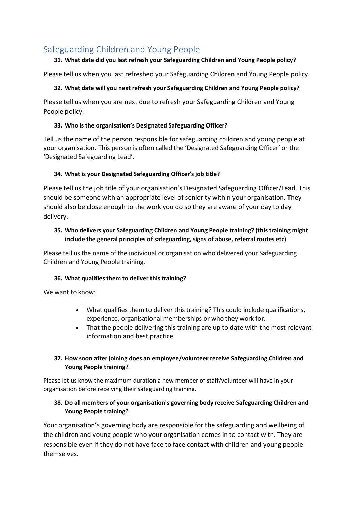### <span id="page-10-0"></span>Safeguarding Children and Young People

#### **31. What date did you last refresh your Safeguarding Children and Young People policy?**

Please tell us when you last refreshed your Safeguarding Children and Young People policy.

#### **32. What date will you next refresh your Safeguarding Children and Young People policy?**

Please tell us when you are next due to refresh your Safeguarding Children and Young People policy.

#### **33. Who is the organisation's Designated Safeguarding Officer?**

Tell us the name of the person responsible for safeguarding children and young people at your organisation. This person is often called the 'Designated Safeguarding Officer' or the 'Designated Safeguarding Lead'.

#### **34. What is your Designated Safeguarding Officer's job title?**

Please tell us the job title of your organisation's Designated Safeguarding Officer/Lead. This should be someone with an appropriate level of seniority within your organisation. They should also be close enough to the work you do so they are aware of your day to day delivery.

#### **35. Who delivers your Safeguarding Children and Young People training? (this training might include the general principles of safeguarding, signs of abuse, referral routes etc)**

Please tell us the name of the individual or organisation who delivered your Safeguarding Children and Young People training.

#### **36. What qualifies them to deliver this training?**

We want to know:

- What qualifies them to deliver this training? This could include qualifications, experience, organisational memberships or who they work for.
- That the people delivering this training are up to date with the most relevant information and best practice.

#### **37. How soon after joining does an employee/volunteer receive Safeguarding Children and Young People training?**

Please let us know the maximum duration a new member of staff/volunteer will have in your organisation before receiving their safeguarding training.

#### **38. Do all members of your organisation's governing body receive Safeguarding Children and Young People training?**

Your organisation's governing body are responsible for the safeguarding and wellbeing of the children and young people who your organisation comes in to contact with. They are responsible even if they do not have face to face contact with children and young people themselves.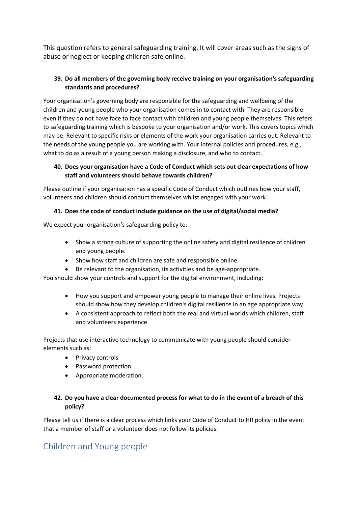This question refers to general safeguarding training. It will cover areas such as the signs of abuse or neglect or keeping children safe online.

#### **39. Do all members of the governing body receive training on your organisation's safeguarding standards and procedures?**

Your organisation's governing body are responsible for the safeguarding and wellbeing of the children and young people who your organisation comes in to contact with. They are responsible even if they do not have face to face contact with children and young people themselves. This refers to safeguarding training which is bespoke to your organisation and/or work. This covers topics which may be: Relevant to specific risks or elements of the work your organisation carries out. Relevant to the needs of the young people you are working with. Your internal policies and procedures, e.g., what to do as a result of a young person making a disclosure, and who to contact.

#### **40. Does your organisation have a Code of Conduct which sets out clear expectations of how staff and volunteers should behave towards children?**

Please outline if your organisation has a specific Code of Conduct which outlines how your staff, volunteers and children should conduct themselves whilst engaged with your work.

#### **41. Does the code of conduct include guidance on the use of digital/social media?**

We expect your organisation's safeguarding policy to:

- Show a strong culture of supporting the online safety and digital resilience of children and young people.
- Show how staff and children are safe and responsible online.
- Be relevant to the organisation, its activities and be age-appropriate.

You should show your controls and support for the digital environment, including:

- How you support and empower young people to manage their online lives. Projects should show how they develop children's digital resilience in an age appropriate way.
- A consistent approach to reflect both the real and virtual worlds which children, staff and volunteers experience

Projects that use interactive technology to communicate with young people should consider elements such as:

- Privacy controls
- Password protection
- Appropriate moderation.

#### **42. Do you have a clear documented process for what to do in the event of a breach of this policy?**

Please tell us if there is a clear process which links your Code of Conduct to HR policy in the event that a member of staff or a volunteer does not follow its policies.

### <span id="page-11-0"></span>Children and Young people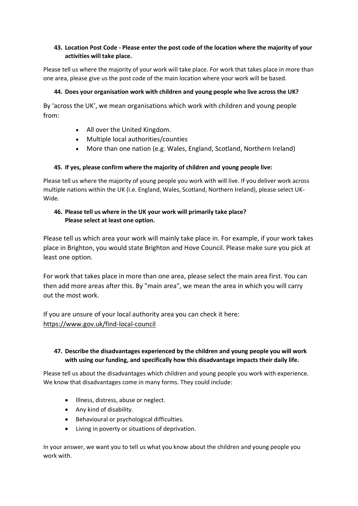#### **43. Location Post Code - Please enter the post code of the location where the majority of your activities will take place.**

Please tell us where the majority of your work will take place. For work that takes place in more than one area, please give us the post code of the main location where your work will be based.

#### **44. Does your organisation work with children and young people who live across the UK?**

By 'across the UK', we mean organisations which work with children and young people from:

- All over the United Kingdom.
- Multiple local authorities/counties
- More than one nation (e.g. Wales, England, Scotland, Northern Ireland)

#### **45. If yes, please confirm where the majority of children and young people live:**

Please tell us where the majority of young people you work with will live. If you deliver work across multiple nations within the UK (i.e. England, Wales, Scotland, Northern Ireland), please select UK-Wide.

#### **46. Please tell us where in the UK your work will primarily take place? Please select at least one option.**

Please tell us which area your work will mainly take place in. For example, if your work takes place in Brighton, you would state Brighton and Hove Council. Please make sure you pick at least one option.

For work that takes place in more than one area, please select the main area first. You can then add more areas after this. By "main area", we mean the area in which you will carry out the most work.

If you are unsure of your local authority area you can check it here: <https://www.gov.uk/find-local-council>

#### **47. Describe the disadvantages experienced by the children and young people you will work with using our funding, and specifically how this disadvantage impacts their daily life.**

Please tell us about the disadvantages which children and young people you work with experience. We know that disadvantages come in many forms. They could include:

- Illness, distress, abuse or neglect.
- Any kind of disability.
- Behavioural or psychological difficulties.
- Living in poverty or situations of deprivation.

In your answer, we want you to tell us what you know about the children and young people you work with.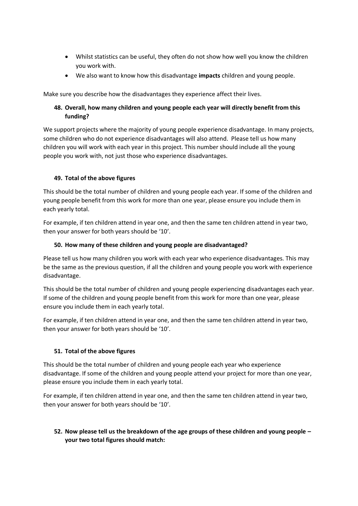- Whilst statistics can be useful, they often do not show how well you know the children you work with.
- We also want to know how this disadvantage **impacts** children and young people.

Make sure you describe how the disadvantages they experience affect their lives.

#### **48. Overall, how many children and young people each year will directly benefit from this funding?**

We support projects where the majority of young people experience disadvantage. In many projects, some children who do not experience disadvantages will also attend. Please tell us how many children you will work with each year in this project. This number should include all the young people you work with, not just those who experience disadvantages.

#### **49. Total of the above figures**

This should be the total number of children and young people each year. If some of the children and young people benefit from this work for more than one year, please ensure you include them in each yearly total.

For example, if ten children attend in year one, and then the same ten children attend in year two, then your answer for both years should be '10'.

#### **50. How many of these children and young people are disadvantaged?**

Please tell us how many children you work with each year who experience disadvantages. This may be the same as the previous question, if all the children and young people you work with experience disadvantage.

This should be the total number of children and young people experiencing disadvantages each year. If some of the children and young people benefit from this work for more than one year, please ensure you include them in each yearly total.

For example, if ten children attend in year one, and then the same ten children attend in year two, then your answer for both years should be '10'.

#### **51. Total of the above figures**

This should be the total number of children and young people each year who experience disadvantage. If some of the children and young people attend your project for more than one year, please ensure you include them in each yearly total.

For example, if ten children attend in year one, and then the same ten children attend in year two, then your answer for both years should be '10'.

#### **52. Now please tell us the breakdown of the age groups of these children and young people – your two total figures should match:**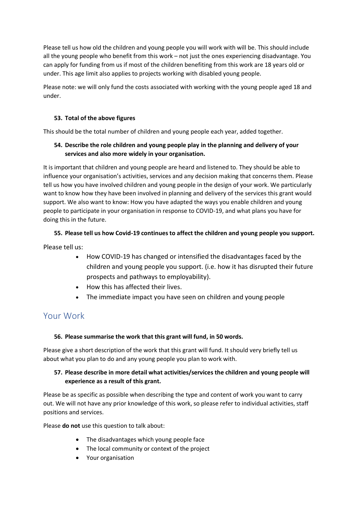Please tell us how old the children and young people you will work with will be. This should include all the young people who benefit from this work – not just the ones experiencing disadvantage. You can apply for funding from us if most of the children benefiting from this work are 18 years old or under. This age limit also applies to projects working with disabled young people.

Please note: we will only fund the costs associated with working with the young people aged 18 and under.

#### **53. Total of the above figures**

This should be the total number of children and young people each year, added together.

#### **54. Describe the role children and young people play in the planning and delivery of your services and also more widely in your organisation.**

It is important that children and young people are heard and listened to. They should be able to influence your organisation's activities, services and any decision making that concerns them. Please tell us how you have involved children and young people in the design of your work. We particularly want to know how they have been involved in planning and delivery of the services this grant would support. We also want to know: How you have adapted the ways you enable children and young people to participate in your organisation in response to COVID-19, and what plans you have for doing this in the future.

#### **55. Please tell us how Covid-19 continues to affect the children and young people you support.**

Please tell us:

- How COVID-19 has changed or intensified the disadvantages faced by the children and young people you support. (i.e. how it has disrupted their future prospects and pathways to employability).
- How this has affected their lives.
- The immediate impact you have seen on children and young people

### <span id="page-14-0"></span>Your Work

#### **56. Please summarise the work that this grant will fund, in 50 words.**

Please give a short description of the work that this grant will fund. It should very briefly tell us about what you plan to do and any young people you plan to work with.

#### **57. Please describe in more detail what activities/services the children and young people will experience as a result of this grant.**

Please be as specific as possible when describing the type and content of work you want to carry out. We will not have any prior knowledge of this work, so please refer to individual activities, staff positions and services.

Please **do not** use this question to talk about:

- The disadvantages which young people face
- The local community or context of the project
- Your organisation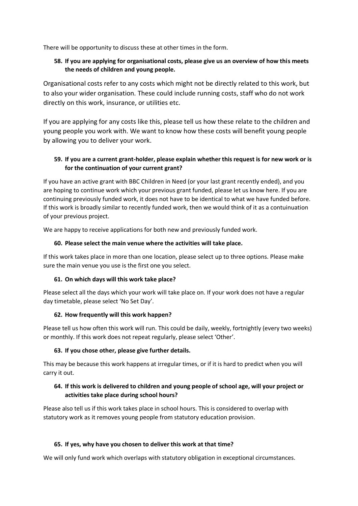There will be opportunity to discuss these at other times in the form.

#### **58. If you are applying for organisational costs, please give us an overview of how this meets the needs of children and young people.**

Organisational costs refer to any costs which might not be directly related to this work, but to also your wider organisation. These could include running costs, staff who do not work directly on this work, insurance, or utilities etc.

If you are applying for any costs like this, please tell us how these relate to the children and young people you work with. We want to know how these costs will benefit young people by allowing you to deliver your work.

#### **59. If you are a current grant-holder, please explain whether this request is for new work or is for the continuation of your current grant?**

If you have an active grant with BBC Children in Need (or your last grant recently ended), and you are hoping to continue work which your previous grant funded, please let us know here. If you are continuing previously funded work, it does not have to be identical to what we have funded before. If this work is broadly similar to recently funded work, then we would think of it as a contuinuation of your previous project.

We are happy to receive applications for both new and previously funded work.

#### **60. Please select the main venue where the activities will take place.**

If this work takes place in more than one location, please select up to three options. Please make sure the main venue you use is the first one you select.

#### **61. On which days will this work take place?**

Please select all the days which your work will take place on. If your work does not have a regular day timetable, please select 'No Set Day'.

#### **62. How frequently will this work happen?**

Please tell us how often this work will run. This could be daily, weekly, fortnightly (every two weeks) or monthly. If this work does not repeat regularly, please select 'Other'.

#### **63. If you chose other, please give further details.**

This may be because this work happens at irregular times, or if it is hard to predict when you will carry it out.

#### **64. If this work is delivered to children and young people of school age, will your project or activities take place during school hours?**

Please also tell us if this work takes place in school hours. This is considered to overlap with statutory work as it removes young people from statutory education provision.

#### **65. If yes, why have you chosen to deliver this work at that time?**

We will only fund work which overlaps with statutory obligation in exceptional circumstances.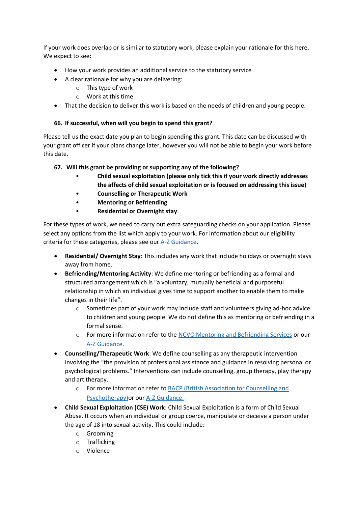If your work does overlap or is similar to statutory work, please explain your rationale for this here. We expect to see:

- How your work provides an additional service to the statutory service
- A clear rationale for why you are delivering:
	- o This type of work
	- o Work at this time
- That the decision to deliver this work is based on the needs of children and young people.

#### **66. If successful, when will you begin to spend this grant?**

Please tell us the exact date you plan to begin spending this grant. This date can be discussed with your grant officer if your plans change later, however you will not be able to begin your work before this date.

#### **67. Will this grant be providing or supporting any of the following?**

- **Child sexual exploitation (please only tick this if your work directly addresses the affects of child sexual exploitation or is focused on addressing this issue)**
- **Counselling or Therapeutic Work**
- **Mentoring or Befriending**
- **Residential or Overnight stay**

For these types of work, we need to carry out extra safeguarding checks on your application. Please select any options from the list which apply to your work. For information about our eligibility criteria for these categories, please see our [A-Z Guidance.](https://www.bbcchildreninneed.co.uk/grants/apply/extra-guidance-for-all-applicants/)

- **Residential/ Overnight Stay**: This includes any work that include holidays or overnight stays away from home.
- **Befriending/Mentoring Activity**: We define mentoring or befriending as a formal and structured arrangement which is "a voluntary, mutually beneficial and purposeful relationship in which an individual gives time to support another to enable them to make changes in their life".
	- $\circ$  Sometimes part of your work may include staff and volunteers giving ad-hoc advice to children and young people. We do not define this as mentoring or befriending in a formal sense.
	- o For more information refer to the [NCVO Mentoring and Befriending Services](https://www.ncvo.org.uk/practical-support/information/mentoring-and-befriending) or our [A-Z Guidance.](https://www.bbcchildreninneed.co.uk/grants/apply/extra-guidance-for-all-applicants/)
- **Counselling/Therapeutic Work**: We define counselling as any therapeutic intervention involving the "the provision of professional assistance and guidance in resolving personal or psychological problems." Interventions can include counselling, group therapy, play therapy and art therapy.
	- o For more information refer to [BACP \(British Association for Counselling and](https://www.bacp.co.uk/)  [Psychotherapy\)o](https://www.bacp.co.uk/)r our [A-Z Guidance.](https://www.bbcchildreninneed.co.uk/grants/apply/extra-guidance-for-all-applicants/)
- **Child Sexual Exploitation (CSE) Work**: Child Sexual Exploitation is a form of Child Sexual Abuse. It occurs when an individual or group coerce, manipulate or deceive a person under the age of 18 into sexual activity. This could include:
	- o Grooming
	- o Trafficking
	- o Violence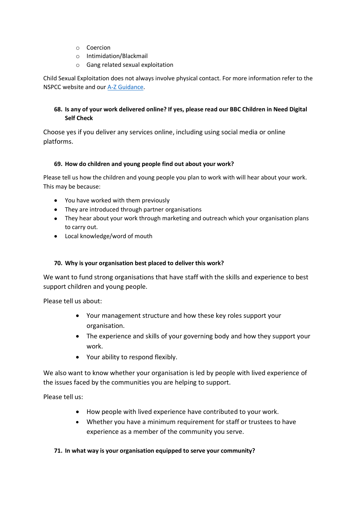- o Coercion
- o Intimidation/Blackmail
- o Gang related sexual exploitation

Child Sexual Exploitation does not always involve physical contact. For more information refer to the NSPCC website and our [A-Z Guidance.](https://www.bbcchildreninneed.co.uk/grants/apply/extra-guidance-for-all-applicants/)

#### **68. Is any of your work delivered online? If yes, please read our BBC Children in Need Digital Self Check**

Choose yes if you deliver any services online, including using social media or online platforms.

#### **69. How do children and young people find out about your work?**

Please tell us how the children and young people you plan to work with will hear about your work. This may be because:

- You have worked with them previously
- They are introduced through partner organisations
- They hear about your work through marketing and outreach which your organisation plans to carry out.
- Local knowledge/word of mouth

#### **70. Why is your organisation best placed to deliver this work?**

We want to fund strong organisations that have staff with the skills and experience to best support children and young people.

Please tell us about:

- Your management structure and how these key roles support your organisation.
- The experience and skills of your governing body and how they support your work.
- Your ability to respond flexibly.

We also want to know whether your organisation is led by people with lived experience of the issues faced by the communities you are helping to support.

Please tell us:

- How people with lived experience have contributed to your work.
- Whether you have a minimum requirement for staff or trustees to have experience as a member of the community you serve.

#### **71. In what way is your organisation equipped to serve your community?**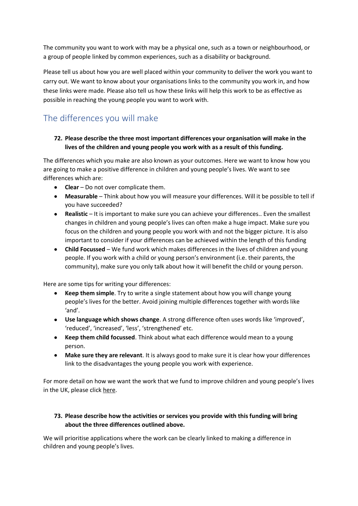The community you want to work with may be a physical one, such as a town or neighbourhood, or a group of people linked by common experiences, such as a disability or background.

Please tell us about how you are well placed within your community to deliver the work you want to carry out. We want to know about your organisations links to the community you work in, and how these links were made. Please also tell us how these links will help this work to be as effective as possible in reaching the young people you want to work with.

### <span id="page-18-0"></span>The differences you will make

#### **72. Please describe the three most important differences your organisation will make in the lives of the children and young people you work with as a result of this funding.**

The differences which you make are also known as your outcomes. Here we want to know how you are going to make a positive difference in children and young people's lives. We want to see differences which are:

- **Clear**  Do not over complicate them.
- **Measurable** Think about how you will measure your differences. Will it be possible to tell if you have succeeded?
- **Realistic** It is important to make sure you can achieve your differences.. Even the smallest changes in children and young people's lives can often make a huge impact. Make sure you focus on the children and young people you work with and not the bigger picture. It is also important to consider if your differences can be achieved within the length of this funding
- **Child Focussed** We fund work which makes differences in the lives of children and young people. If you work with a child or young person's environment (i.e. their parents, the community), make sure you only talk about how it will benefit the child or young person.

Here are some tips for writing your differences:

- **Keep them simple**. Try to write a single statement about how you will change young people's lives for the better. Avoid joining multiple differences together with words like 'and'.
- **Use language which shows change**. A strong difference often uses words like 'improved', 'reduced', 'increased', 'less', 'strengthened' etc.
- **Keep them child focussed**. Think about what each difference would mean to a young person.
- **Make sure they are relevant**. It is always good to make sure it is clear how your differences link to the disadvantages the young people you work with experience.

For more detail on how we want the work that we fund to improve children and young people's lives in the UK, please click [here.](https://www.bbcchildreninneed.co.uk/grants/apply/)

#### **73. Please describe how the activities or services you provide with this funding will bring about the three differences outlined above.**

We will prioritise applications where the work can be clearly linked to making a difference in children and young people's lives.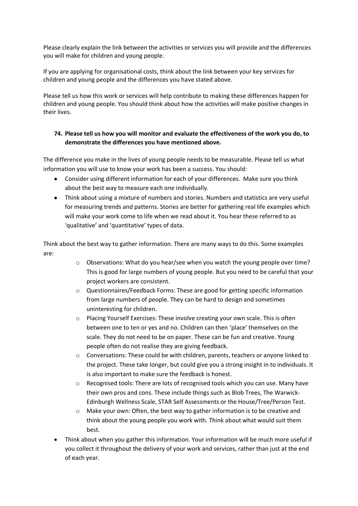Please clearly explain the link between the activities or services you will provide and the differences you will make for children and young people.

If you are applying for organisational costs, think about the link between your key services for children and young people and the differences you have stated above.

Please tell us how this work or services will help contribute to making these differences happen for children and young people. You should think about how the activities will make positive changes in their lives.

#### **74. Please tell us how you will monitor and evaluate the effectiveness of the work you do, to demonstrate the differences you have mentioned above.**

The difference you make in the lives of young people needs to be measurable. Please tell us what information you will use to know your work has been a success. You should:

- Consider using different information for each of your differences. Make sure you think about the best way to measure each one individually.
- Think about using a mixture of numbers and stories. Numbers and statistics are very useful for measuring trends and patterns. Stories are better for gathering real life examples which will make your work come to life when we read about it. You hear these referred to as 'qualitative' and 'quantitative' types of data.

Think about the best way to gather information. There are many ways to do this. Some examples are:

- $\circ$  Observations: What do you hear/see when you watch the young people over time? This is good for large numbers of young people. But you need to be careful that your project workers are consistent.
- o Questionnaires/Feedback Forms: These are good for getting specific information from large numbers of people. They can be hard to design and sometimes uninteresting for children.
- o Placing Yourself Exercises: These involve creating your own scale. This is often between one to ten or yes and no. Children can then 'place' themselves on the scale. They do not need to be on paper. These can be fun and creative. Young people often do not realise they are giving feedback.
- $\circ$  Conversations: These could be with children, parents, teachers or anyone linked to the project. These take longer, but could give you a strong insight in to individuals. It is also important to make sure the feedback is honest.
- $\circ$  Recognised tools: There are lots of recognised tools which you can use. Many have their own pros and cons. These include things such as Blob Trees, The Warwick-Edinburgh Wellness Scale, STAR Self Assessments or the House/Tree/Person Test.
- $\circ$  Make your own: Often, the best way to gather information is to be creative and think about the young people you work with. Think about what would suit them best.
- Think about when you gather this information. Your information will be much more useful if you collect it throughout the delivery of your work and services, rather than just at the end of each year.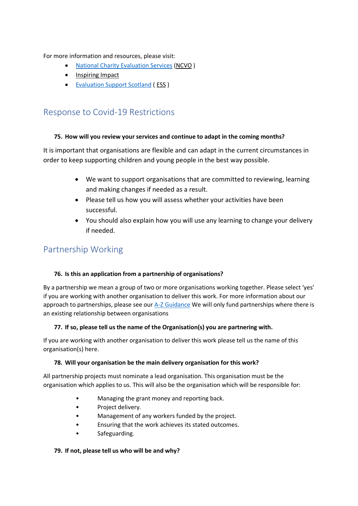For more information and resources, please visit:

- [National Charity Evaluation Services](https://www.ncvo.org.uk/) [\(NCVO](https://www.ncvo.org.uk/practical-support/consultancy/ncvo-charities-evaluation-services#:~:text=NCVO%20Charities%20Evaluation%20Services%20helps,achieve%20more%20for%20your%20cause.) )
- [Inspiring Impact](https://www.inspiringimpact.org/)
- [Evaluation Support Scotland](http://www.evaluationsupportscotland.org.uk/) ( [ESS](http://www.evaluationsupportscotland.org.uk/) )

### <span id="page-20-0"></span>Response to Covid-19 Restrictions

#### **75. How will you review your services and continue to adapt in the coming months?**

It is important that organisations are flexible and can adapt in the current circumstances in order to keep supporting children and young people in the best way possible.

- We want to support organisations that are committed to reviewing, learning and making changes if needed as a result.
- Please tell us how you will assess whether your activities have been successful.
- You should also explain how you will use any learning to change your delivery if needed.

# <span id="page-20-1"></span>Partnership Working

#### **76. Is this an application from a partnership of organisations?**

By a partnership we mean a group of two or more organisations working together. Please select 'yes' if you are working with another organisation to deliver this work. For more information about our approach to partnerships, please see our [A-Z Guidance](https://www.bbcchildreninneed.co.uk/grants/apply/extra-guidance-for-all-applicants/) We will only fund partnerships where there is an existing relationship between organisations

#### **77. If so, please tell us the name of the Organisation(s) you are partnering with.**

If you are working with another organisation to deliver this work please tell us the name of this organisation(s) here.

#### **78. Will your organisation be the main delivery organisation for this work?**

All partnership projects must nominate a lead organisation. This organisation must be the organisation which applies to us. This will also be the organisation which will be responsible for:

- Managing the grant money and reporting back.
- Project delivery.
- Management of any workers funded by the project.
- Ensuring that the work achieves its stated outcomes.
- Safeguarding.

#### **79. If not, please tell us who will be and why?**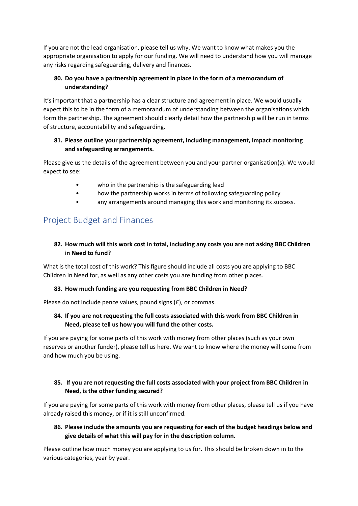If you are not the lead organisation, please tell us why. We want to know what makes you the appropriate organisation to apply for our funding. We will need to understand how you will manage any risks regarding safeguarding, delivery and finances.

#### **80. Do you have a partnership agreement in place in the form of a memorandum of understanding?**

It's important that a partnership has a clear structure and agreement in place. We would usually expect this to be in the form of a memorandum of understanding between the organisations which form the partnership. The agreement should clearly detail how the partnership will be run in terms of structure, accountability and safeguarding.

#### **81. Please outline your partnership agreement, including management, impact monitoring and safeguarding arrangements.**

Please give us the details of the agreement between you and your partner organisation(s). We would expect to see:

- who in the partnership is the safeguarding lead
- how the partnership works in terms of following safeguarding policy
- any arrangements around managing this work and monitoring its success.

### <span id="page-21-0"></span>Project Budget and Finances

#### **82. How much will this work cost in total, including any costs you are not asking BBC Children in Need to fund?**

What is the total cost of this work? This figure should include all costs you are applying to BBC Children in Need for, as well as any other costs you are funding from other places.

#### **83. How much funding are you requesting from BBC Children in Need?**

Please do not include pence values, pound signs (£), or commas.

#### **84. If you are not requesting the full costs associated with this work from BBC Children in Need, please tell us how you will fund the other costs.**

If you are paying for some parts of this work with money from other places (such as your own reserves or another funder), please tell us here. We want to know where the money will come from and how much you be using.

#### **85. If you are not requesting the full costs associated with your project from BBC Children in Need, is the other funding secured?**

If you are paying for some parts of this work with money from other places, please tell us if you have already raised this money, or if it is still unconfirmed.

#### **86. Please include the amounts you are requesting for each of the budget headings below and give details of what this will pay for in the description column.**

Please outline how much money you are applying to us for. This should be broken down in to the various categories, year by year.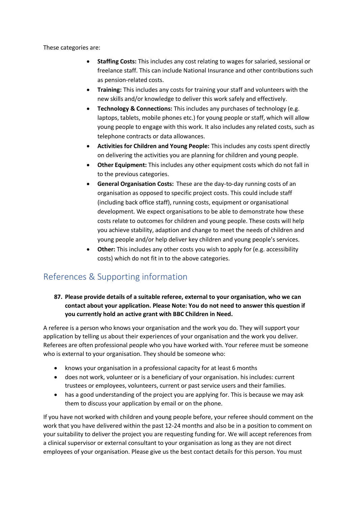These categories are:

- **Staffing Costs:** This includes any cost relating to wages for salaried, sessional or freelance staff. This can include National Insurance and other contributions such as pension-related costs.
- **Training:** This includes any costs for training your staff and volunteers with the new skills and/or knowledge to deliver this work safely and effectively.
- **Technology & Connections:** This includes any purchases of technology (e.g. laptops, tablets, mobile phones etc.) for young people or staff, which will allow young people to engage with this work. It also includes any related costs, such as telephone contracts or data allowances.
- **Activities for Children and Young People:** This includes any costs spent directly on delivering the activities you are planning for children and young people.
- **Other Equipment:** This includes any other equipment costs which do not fall in to the previous categories.
- **General Organisation Costs:** These are the day-to-day running costs of an organisation as opposed to specific project costs. This could include staff (including back office staff), running costs, equipment or organisational development. We expect organisations to be able to demonstrate how these costs relate to outcomes for children and young people. These costs will help you achieve stability, adaption and change to meet the needs of children and young people and/or help deliver key children and young people's services.
- **Other:** This includes any other costs you wish to apply for (e.g. accessibility costs) which do not fit in to the above categories.

### <span id="page-22-0"></span>References & Supporting information

#### **87. Please provide details of a suitable referee, external to your organisation, who we can contact about your application. Please Note: You do not need to answer this question if you currently hold an active grant with BBC Children in Need.**

A referee is a person who knows your organisation and the work you do. They will support your application by telling us about their experiences of your organisation and the work you deliver. Referees are often professional people who you have worked with. Your referee must be someone who is external to your organisation. They should be someone who:

- knows your organisation in a professional capacity for at least 6 months
- does not work, volunteer or is a beneficiary of your organisation. his includes: current trustees or employees, volunteers, current or past service users and their families.
- has a good understanding of the project you are applying for. This is because we may ask them to discuss your application by email or on the phone.

If you have not worked with children and young people before, your referee should comment on the work that you have delivered within the past 12-24 months and also be in a position to comment on your suitability to deliver the project you are requesting funding for. We will accept references from a clinical supervisor or external consultant to your organisation as long as they are not direct employees of your organisation. Please give us the best contact details for this person. You must